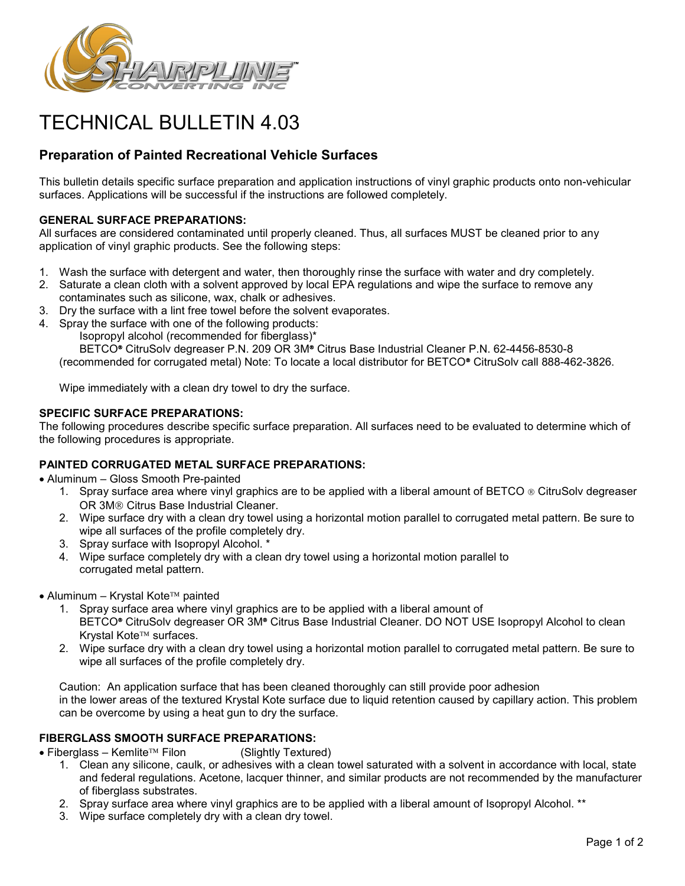

# TECHNICAL BULLETIN 4.03

## **Preparation of Painted Recreational Vehicle Surfaces**

This bulletin details specific surface preparation and application instructions of vinyl graphic products onto non-vehicular surfaces. Applications will be successful if the instructions are followed completely.

#### **GENERAL SURFACE PREPARATIONS:**

All surfaces are considered contaminated until properly cleaned. Thus, all surfaces MUST be cleaned prior to any application of vinyl graphic products. See the following steps:

- 1. Wash the surface with detergent and water, then thoroughly rinse the surface with water and dry completely.
- 2. Saturate a clean cloth with a solvent approved by local EPA regulations and wipe the surface to remove any contaminates such as silicone, wax, chalk or adhesives.
- 3. Dry the surface with a lint free towel before the solvent evaporates.
- 4. Spray the surface with one of the following products:

Isopropyl alcohol (recommended for fiberglass)\*

BETCO<sup>®</sup> CitruSolv degreaser P.N. 209 OR 3M® Citrus Base Industrial Cleaner P.N. 62-4456-8530-8 (recommended for corrugated metal) Note: To locate a local distributor for BETCO® CitruSolv call 888-462-3826.

Wipe immediately with a clean dry towel to dry the surface.

### **SPECIFIC SURFACE PREPARATIONS:**

The following procedures describe specific surface preparation. All surfaces need to be evaluated to determine which of the following procedures is appropriate.

### **PAINTED CORRUGATED METAL SURFACE PREPARATIONS:**

• Aluminum – Gloss Smooth Pre-painted

- 1. Spray surface area where vinyl graphics are to be applied with a liberal amount of BETCO ® CitruSolv degreaser OR 3M® Citrus Base Industrial Cleaner.
- 2. Wipe surface dry with a clean dry towel using a horizontal motion parallel to corrugated metal pattern. Be sure to wipe all surfaces of the profile completely dry.
- 3. Spray surface with Isopropyl Alcohol. \*
- 4. Wipe surface completely dry with a clean dry towel using a horizontal motion parallel to corrugated metal pattern.
- Aluminum Krystal Kote<sup>TM</sup> painted
	- 1. Spray surface area where vinyl graphics are to be applied with a liberal amount of BETCO<sup>®</sup> CitruSolv degreaser OR 3M<sup>®</sup> Citrus Base Industrial Cleaner. DO NOT USE Isopropyl Alcohol to clean Krystal Kote<sup>™</sup> surfaces.
	- 2. Wipe surface dry with a clean dry towel using a horizontal motion parallel to corrugated metal pattern. Be sure to wipe all surfaces of the profile completely dry.

Caution: An application surface that has been cleaned thoroughly can still provide poor adhesion in the lower areas of the textured Krystal Kote surface due to liquid retention caused by capillary action. This problem can be overcome by using a heat gun to dry the surface.

**FIBERGLASS SMOOTH SURFACE PREPARATIONS:**<br>● Fiberglass – Kemlite™ Filon (Slightly Textured)  $\bullet$  Fiberglass – Kemlite<sup>TM</sup> Filon

- 1. Clean any silicone, caulk, or adhesives with a clean towel saturated with a solvent in accordance with local, state and federal regulations. Acetone, lacquer thinner, and similar products are not recommended by the manufacturer of fiberglass substrates.
- 2. Spray surface area where vinyl graphics are to be applied with a liberal amount of Isopropyl Alcohol. \*\*
- 3. Wipe surface completely dry with a clean dry towel.